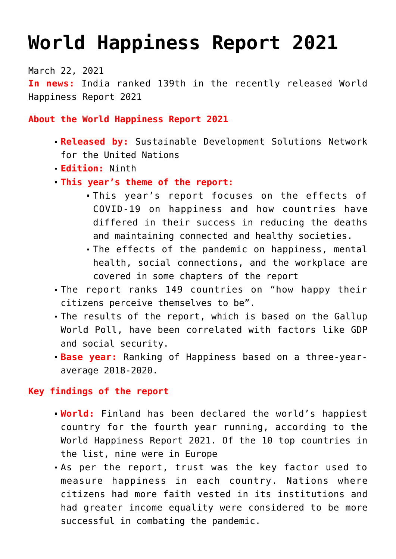# **[World Happiness Report 2021](https://journalsofindia.com/world-happiness-report-2021/)**

March 22, 2021 **In news:** India ranked 139th in the recently released World Happiness Report 2021

**About the World Happiness Report 2021**

- **Released by:** Sustainable Development Solutions Network for the United Nations
- **Edition:** Ninth
- **This year's theme of the report:**
	- This year's report focuses on the effects of COVID-19 on happiness and how countries have differed in their success in reducing the deaths and maintaining connected and healthy societies.
	- The effects of the pandemic on happiness, mental health, social connections, and the workplace are covered in some chapters of the report
- The report ranks 149 countries on "how happy their citizens perceive themselves to be".
- The results of the report, which is based on the Gallup World Poll, have been correlated with factors like GDP and social security.
- **Base year:** Ranking of Happiness based on a three-yearaverage 2018-2020.

# **Key findings of the report**

- **World:** Finland has been declared the world's happiest country for the fourth year running, according to the World Happiness Report 2021. Of the 10 top countries in the list, nine were in Europe
- As per the report, trust was the key factor used to measure happiness in each country. Nations where citizens had more faith vested in its institutions and had greater income equality were considered to be more successful in combating the pandemic.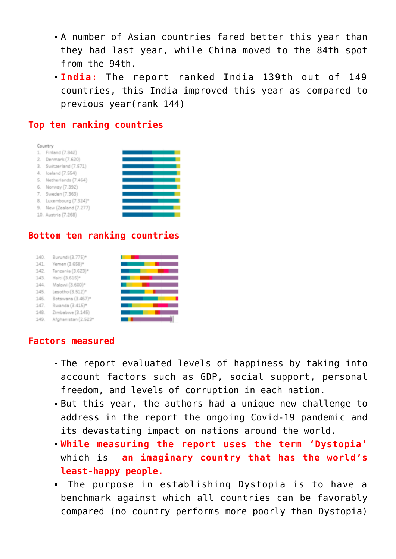- A number of Asian countries fared better this year than they had last year, while China moved to the 84th spot from the 94th.
- **India:** The report ranked India 139th out of 149 countries, this India improved this year as compared to previous year(rank 144)

### **Top ten ranking countries**



#### **Bottom ten ranking countries**

| 140. | Burundi (3.775)*    |  |
|------|---------------------|--|
| 141. | Yemen (3.658)*      |  |
| 142. | Tanzania (3.623)*   |  |
| 143. | Haiti (3.615)*      |  |
| 144. | Malawi (3.600)*     |  |
| 145. | Lesotho (3.512)*    |  |
| 146. | Botswana (3.467)*   |  |
| 147. | Rwanda (3.415)*     |  |
| 148. | Zimbabwe (3.145)    |  |
| 149  | Afohanistan (2.523* |  |

#### **Factors measured**

- The report evaluated levels of happiness by taking into account factors such as GDP, social support, personal freedom, and levels of corruption in each nation.
- But this year, the authors had a unique new challenge to address in the report the ongoing Covid-19 pandemic and its devastating impact on nations around the world.
- **While measuring the report uses the term 'Dystopia'** which is **an imaginary country that has the world's least-happy people.**
- The purpose in establishing Dystopia is to have a benchmark against which all countries can be favorably compared (no country performs more poorly than Dystopia)